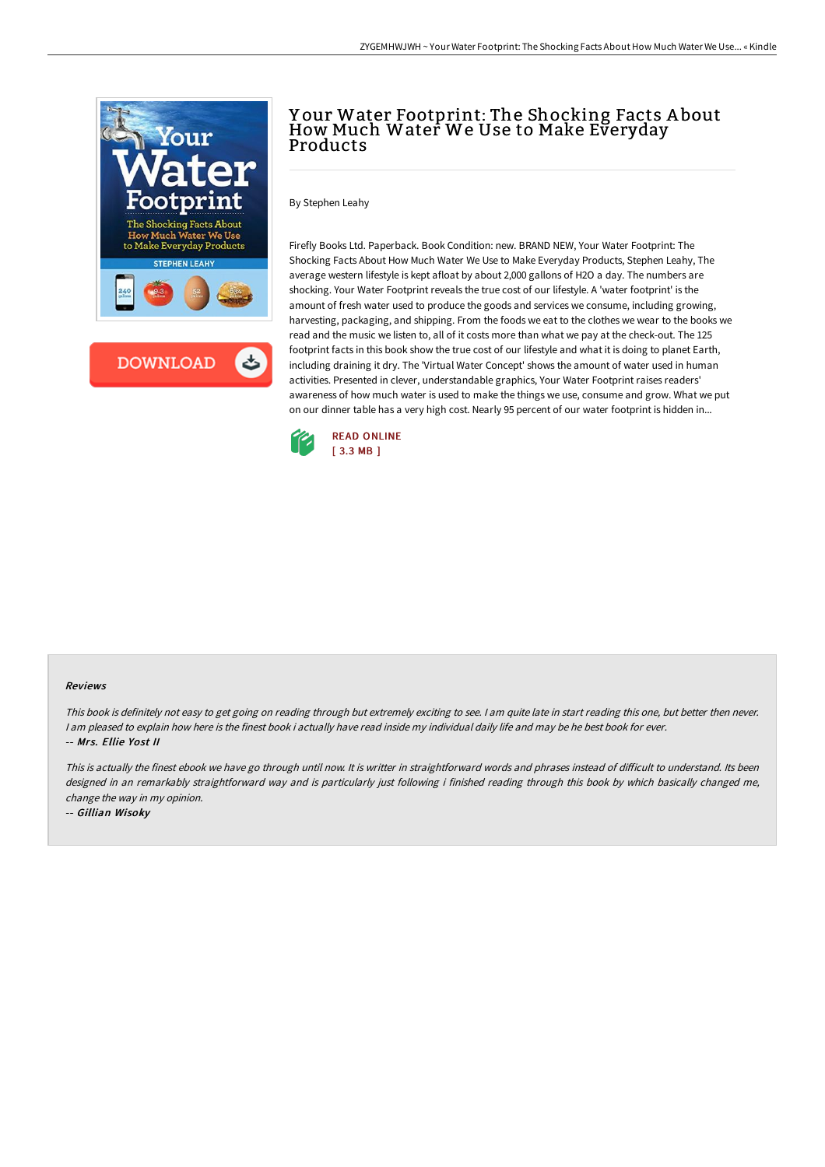

## Y our Water Footprint: The Shocking Facts A bout How Much Water We Use to Make Everyday Products

By Stephen Leahy

Firefly Books Ltd. Paperback. Book Condition: new. BRAND NEW, Your Water Footprint: The Shocking Facts About How Much Water We Use to Make Everyday Products, Stephen Leahy, The average western lifestyle is kept afloat by about 2,000 gallons of H2O a day. The numbers are shocking. Your Water Footprint reveals the true cost of our lifestyle. A 'water footprint' is the amount of fresh water used to produce the goods and services we consume, including growing, harvesting, packaging, and shipping. From the foods we eat to the clothes we wear to the books we read and the music we listen to, all of it costs more than what we pay at the check-out. The 125 footprint facts in this book show the true cost of our lifestyle and what it is doing to planet Earth, including draining it dry. The 'Virtual Water Concept' shows the amount of water used in human activities. Presented in clever, understandable graphics, Your Water Footprint raises readers' awareness of how much water is used to make the things we use, consume and grow. What we put on our dinner table has a very high cost. Nearly 95 percent of our water footprint is hidden in...



## Reviews

This book is definitely not easy to get going on reading through but extremely exciting to see. <sup>I</sup> am quite late in start reading this one, but better then never. I am pleased to explain how here is the finest book i actually have read inside my individual daily life and may be he best book for ever. -- Mrs. Ellie Yost II

This is actually the finest ebook we have go through until now. It is writter in straightforward words and phrases instead of difficult to understand. Its been designed in an remarkably straightforward way and is particularly just following i finished reading through this book by which basically changed me, change the way in my opinion.

-- Gillian Wisoky